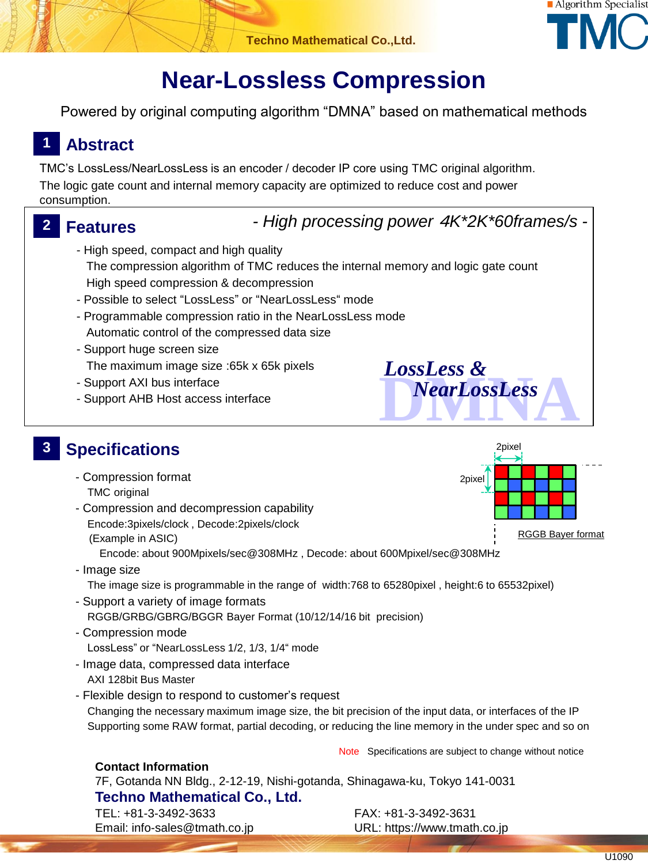

# **Near-Lossless Compression**

Powered by original computing algorithm "DMNA" based on mathematical methods

# **1 Abstract**

TMC's LossLess/NearLossLess is an encoder / decoder IP core using TMC original algorithm. The logic gate count and internal memory capacity are optimized to reduce cost and power consumption.

## **2 Features**

*- High processing power* 4*K\*2K\*60frames/s -*

*LossLess &*

- High speed, compact and high quality The compression algorithm of TMC reduces the internal memory and logic gate count High speed compression & decompression
- Possible to select "LossLess" or "NearLossLess" mode
- Programmable compression ratio in the NearLossLess mode Automatic control of the compressed data size
- Support huge screen size The maximum image size :65k x 65k pixels
- Support AXI bus interface
- Support AHB Host access interface

#### **3 Specifications**

- Compression format TMC original
- Compression and decompression capability Encode:3pixels/clock , Decode:2pixels/clock (Example in ASIC)

Encode: about 900Mpixels/sec@308MHz , Decode: about 600Mpixel/sec@308MHz

- Image size The image size is programmable in the range of width:768 to 65280pixel , height:6 to 65532pixel)
- Support a variety of image formats RGGB/GRBG/GBRG/BGGR Bayer Format (10/12/14/16 bit precision)
- Compression mode LossLess" or "NearLossLess 1/2, 1/3, 1/4" mode
- Image data, compressed data interface AXI 128bit Bus Master
- Flexible design to respond to customer's request Changing the necessary maximum image size, the bit precision of the input data, or interfaces of the IP Supporting some RAW format, partial decoding, or reducing the line memory in the under spec and so on

Note Specifications are subject to change without notice

### **Contact Information**

7F, Gotanda NN Bldg., 2-12-19, Nishi-gotanda, Shinagawa-ku, Tokyo 141-0031 **Techno Mathematical Co., Ltd.** TEL: +81-3-3492-3633 FAX: +81-3-3492-3631

Email: info-sales@tmath.co.jp URL: https://www.tmath.co.jp



**DOSSLESS &**<br> **NearLossLess** 

*NearLossLess*